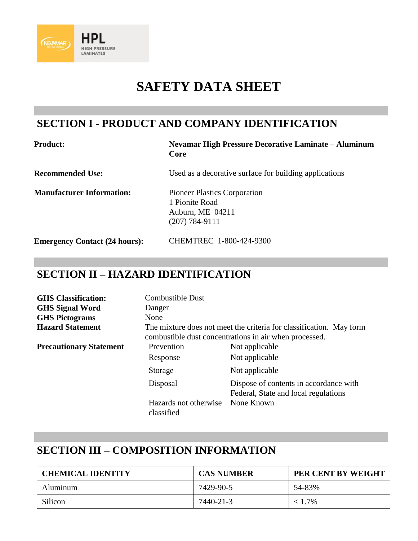

# **SAFETY DATA SHEET**

#### **SECTION I - PRODUCT AND COMPANY IDENTIFICATION**

| <b>Product:</b> |
|-----------------|
|-----------------|

#### **Nevamar High Pressure Decorative Laminate - Aluminum Core**

**Recommended Use:** Used as a decorative surface for building applications

**Manufacturer Information:** Pioneer Plastics Corporation 1 Pionite Road Auburn, ME 04211 (207) 784-9111

| <b>Emergency Contact (24 hours):</b> | CHEMTREC 1-800-424-9300 |
|--------------------------------------|-------------------------|
|--------------------------------------|-------------------------|

### **SECTION II – HAZARD IDENTIFICATION**

| <b>GHS</b> Classification:     | <b>Combustible Dust</b>                                                                                                       |                                                                                |  |
|--------------------------------|-------------------------------------------------------------------------------------------------------------------------------|--------------------------------------------------------------------------------|--|
| <b>GHS Signal Word</b>         | Danger                                                                                                                        |                                                                                |  |
| <b>GHS Pictograms</b>          | None                                                                                                                          |                                                                                |  |
| <b>Hazard Statement</b>        | The mixture does not meet the criteria for classification. May form<br>combustible dust concentrations in air when processed. |                                                                                |  |
| <b>Precautionary Statement</b> | Prevention                                                                                                                    | Not applicable                                                                 |  |
|                                | Response                                                                                                                      | Not applicable                                                                 |  |
|                                | Storage                                                                                                                       | Not applicable                                                                 |  |
|                                | Disposal                                                                                                                      | Dispose of contents in accordance with<br>Federal, State and local regulations |  |
|                                | Hazards not otherwise<br>classified                                                                                           | None Known                                                                     |  |

## **SECTION III – COMPOSITION INFORMATION**

| <b>CHEMICAL IDENTITY</b> | <b>CAS NUMBER</b> | PER CENT BY WEIGHT |
|--------------------------|-------------------|--------------------|
| Aluminum                 | 7429-90-5         | 54-83%             |
| Silicon                  | 7440-21-3         | $< 1.7\%$          |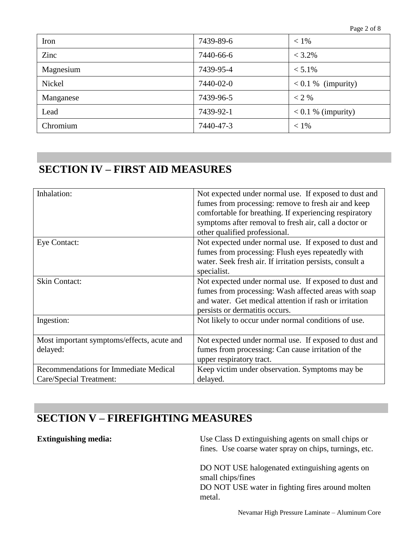| Iron          | 7439-89-6 | $< 1\%$              |
|---------------|-----------|----------------------|
| Zinc          | 7440-66-6 | $< 3.2\%$            |
| Magnesium     | 7439-95-4 | $< 5.1\%$            |
| <b>Nickel</b> | 7440-02-0 | $< 0.1 %$ (impurity) |
| Manganese     | 7439-96-5 | $< 2\%$              |
| Lead          | 7439-92-1 | $< 0.1 %$ (impurity) |
| Chromium      | 7440-47-3 | $< 1\%$              |

# **SECTION IV – FIRST AID MEASURES**

| Inhalation:                                                      | Not expected under normal use. If exposed to dust and<br>fumes from processing: remove to fresh air and keep<br>comfortable for breathing. If experiencing respiratory<br>symptoms after removal to fresh air, call a doctor or<br>other qualified professional. |
|------------------------------------------------------------------|------------------------------------------------------------------------------------------------------------------------------------------------------------------------------------------------------------------------------------------------------------------|
| Eye Contact:                                                     | Not expected under normal use. If exposed to dust and<br>fumes from processing: Flush eyes repeatedly with<br>water. Seek fresh air. If irritation persists, consult a<br>specialist.                                                                            |
| <b>Skin Contact:</b>                                             | Not expected under normal use. If exposed to dust and<br>fumes from processing: Wash affected areas with soap<br>and water. Get medical attention if rash or irritation<br>persists or dermatitis occurs.                                                        |
| Ingestion:                                                       | Not likely to occur under normal conditions of use.                                                                                                                                                                                                              |
| Most important symptoms/effects, acute and<br>delayed:           | Not expected under normal use. If exposed to dust and<br>fumes from processing: Can cause irritation of the<br>upper respiratory tract.                                                                                                                          |
| Recommendations for Immediate Medical<br>Care/Special Treatment: | Keep victim under observation. Symptoms may be<br>delayed.                                                                                                                                                                                                       |

## **SECTION V – FIREFIGHTING MEASURES**

**Extinguishing media:** Use Class D extinguishing agents on small chips or fines. Use coarse water spray on chips, turnings, etc.

> DO NOT USE halogenated extinguishing agents on small chips/fines DO NOT USE water in fighting fires around molten metal.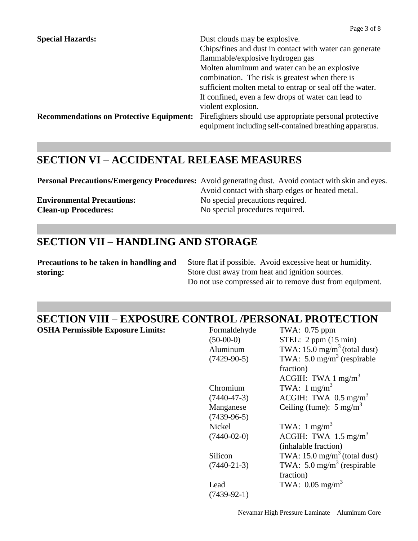| <b>Special Hazards:</b>                         | Dust clouds may be explosive.                            |
|-------------------------------------------------|----------------------------------------------------------|
|                                                 | Chips/fines and dust in contact with water can generate  |
|                                                 | flammable/explosive hydrogen gas                         |
|                                                 | Molten aluminum and water can be an explosive            |
|                                                 | combination. The risk is greatest when there is          |
|                                                 | sufficient molten metal to entrap or seal off the water. |
|                                                 | If confined, even a few drops of water can lead to       |
|                                                 | violent explosion.                                       |
| <b>Recommendations on Protective Equipment:</b> | Firefighters should use appropriate personal protective  |
|                                                 | equipment including self-contained breathing apparatus.  |

#### **SECTION VI – ACCIDENTAL RELEASE MEASURES**

**Personal Precautions/Emergency Procedures:** Avoid generating dust. Avoid contact with skin and eyes. Avoid contact with sharp edges or heated metal. **Environmental Precautions:** No special precautions required. **Clean-up Procedures:** No special procedures required.

#### **SECTION VII – HANDLING AND STORAGE**

**Precautions to be taken in handling and storing:**

Store flat if possible. Avoid excessive heat or humidity. Store dust away from heat and ignition sources. Do not use compressed air to remove dust from equipment.

## **SECTION VIII – EXPOSURE CONTROL /PERSONAL PROTECTION**

**OSHA Permissible Exposure Limits:** 

| Formaldehyde      | TWA: 0.75 ppm                           |
|-------------------|-----------------------------------------|
| $(50-00-0)$       | STEL: $2$ ppm $(15 \text{ min})$        |
| Aluminum          | TWA: $15.0 \text{ mg/m}^3$ (total dust) |
| $(7429-90-5)$     | TWA: 5.0 mg/m <sup>3</sup> (respirable  |
|                   | fraction)                               |
|                   | ACGIH: TWA $1 \text{ mg/m}^3$           |
| Chromium          | TWA: $1 \text{ mg/m}^3$                 |
| $(7440 - 47 - 3)$ | ACGIH: TWA $0.5 \text{ mg/m}^3$         |
| Manganese         | Ceiling (fume): $5 \text{ mg/m}^3$      |
| $(7439-96-5)$     |                                         |
| <b>Nickel</b>     | TWA: $1 \text{ mg/m}^3$                 |
| $(7440-02-0)$     | ACGIH: TWA 1.5 mg/m <sup>3</sup>        |
|                   | (inhalable fraction)                    |
| Silicon           | TWA: $15.0 \text{ mg/m}^3$ (total dust) |
| $(7440-21-3)$     | TWA: 5.0 mg/m <sup>3</sup> (respirable  |
|                   | fraction)                               |
| Lead              | TWA: $0.05$ mg/m <sup>3</sup>           |
| $(7439-92-1)$     |                                         |
|                   |                                         |

Nevamar High Pressure Laminate – Aluminum Core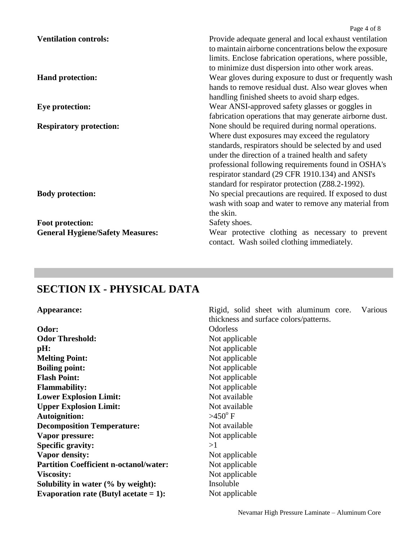|                                         | Page 4 of 8                                             |
|-----------------------------------------|---------------------------------------------------------|
| <b>Ventilation controls:</b>            | Provide adequate general and local exhaust ventilation  |
|                                         | to maintain airborne concentrations below the exposure  |
|                                         | limits. Enclose fabrication operations, where possible, |
|                                         | to minimize dust dispersion into other work areas.      |
| <b>Hand protection:</b>                 | Wear gloves during exposure to dust or frequently wash  |
|                                         | hands to remove residual dust. Also wear gloves when    |
|                                         | handling finished sheets to avoid sharp edges.          |
| <b>Eye protection:</b>                  | Wear ANSI-approved safety glasses or goggles in         |
|                                         | fabrication operations that may generate airborne dust. |
| <b>Respiratory protection:</b>          | None should be required during normal operations.       |
|                                         | Where dust exposures may exceed the regulatory          |
|                                         | standards, respirators should be selected by and used   |
|                                         | under the direction of a trained health and safety      |
|                                         | professional following requirements found in OSHA's     |
|                                         | respirator standard (29 CFR 1910.134) and ANSI's        |
|                                         | standard for respirator protection (Z88.2-1992).        |
| <b>Body protection:</b>                 | No special precautions are required. If exposed to dust |
|                                         | wash with soap and water to remove any material from    |
|                                         | the skin.                                               |
| Foot protection:                        | Safety shoes.                                           |
| <b>General Hygiene/Safety Measures:</b> | Wear protective clothing as necessary to prevent        |
|                                         | contact. Wash soiled clothing immediately.              |

# **SECTION IX - PHYSICAL DATA**

| Appearance:                                   | Rigid, solid sheet with aluminum core.<br>Various |  |  |  |  |
|-----------------------------------------------|---------------------------------------------------|--|--|--|--|
|                                               | thickness and surface colors/patterns.            |  |  |  |  |
| Odor:                                         | <b>Odorless</b>                                   |  |  |  |  |
| <b>Odor Threshold:</b>                        | Not applicable                                    |  |  |  |  |
| pH:                                           | Not applicable                                    |  |  |  |  |
| <b>Melting Point:</b>                         | Not applicable                                    |  |  |  |  |
| <b>Boiling point:</b>                         | Not applicable                                    |  |  |  |  |
| <b>Flash Point:</b>                           | Not applicable                                    |  |  |  |  |
| <b>Flammability:</b>                          | Not applicable                                    |  |  |  |  |
| <b>Lower Explosion Limit:</b>                 | Not available                                     |  |  |  |  |
| <b>Upper Explosion Limit:</b>                 | Not available                                     |  |  |  |  |
| <b>Autoignition:</b>                          | $>450^{\circ}$ F                                  |  |  |  |  |
| <b>Decomposition Temperature:</b>             | Not available                                     |  |  |  |  |
| Vapor pressure:                               | Not applicable                                    |  |  |  |  |
| <b>Specific gravity:</b>                      | >1                                                |  |  |  |  |
| <b>Vapor density:</b>                         | Not applicable                                    |  |  |  |  |
| <b>Partition Coefficient n-octanol/water:</b> | Not applicable                                    |  |  |  |  |
| <b>Viscosity:</b>                             | Not applicable                                    |  |  |  |  |
| Solubility in water (% by weight):            | Insoluble                                         |  |  |  |  |
| Evaporation rate (Butyl acetate $= 1$ ):      | Not applicable                                    |  |  |  |  |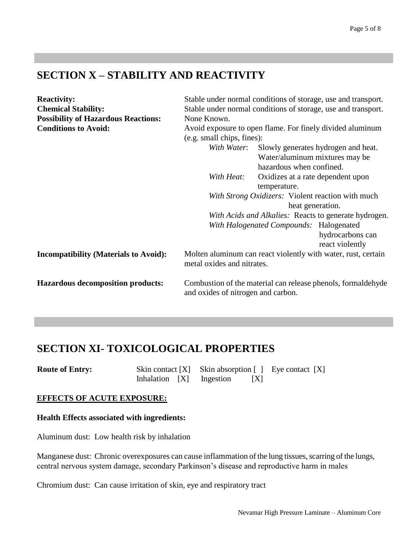#### **SECTION X – STABILITY AND REACTIVITY**

| <b>Reactivity:</b>                           | Stable under normal conditions of storage, use and transport.                                      |  |  |  |
|----------------------------------------------|----------------------------------------------------------------------------------------------------|--|--|--|
| <b>Chemical Stability:</b>                   | Stable under normal conditions of storage, use and transport.                                      |  |  |  |
| <b>Possibility of Hazardous Reactions:</b>   | None Known.                                                                                        |  |  |  |
| <b>Conditions to Avoid:</b>                  | Avoid exposure to open flame. For finely divided aluminum                                          |  |  |  |
|                                              | (e.g. small chips, fines):                                                                         |  |  |  |
|                                              | Slowly generates hydrogen and heat.<br>With Water:                                                 |  |  |  |
|                                              | Water/aluminum mixtures may be                                                                     |  |  |  |
|                                              | hazardous when confined.                                                                           |  |  |  |
|                                              | With Heat:<br>Oxidizes at a rate dependent upon                                                    |  |  |  |
|                                              | temperature.                                                                                       |  |  |  |
|                                              | With Strong Oxidizers: Violent reaction with much                                                  |  |  |  |
|                                              | heat generation.                                                                                   |  |  |  |
|                                              | With Acids and Alkalies: Reacts to generate hydrogen.                                              |  |  |  |
|                                              | With Halogenated Compounds: Halogenated                                                            |  |  |  |
|                                              | hydrocarbons can                                                                                   |  |  |  |
|                                              | react violently                                                                                    |  |  |  |
| <b>Incompatibility (Materials to Avoid):</b> | Molten aluminum can react violently with water, rust, certain<br>metal oxides and nitrates.        |  |  |  |
| <b>Hazardous decomposition products:</b>     | Combustion of the material can release phenols, formaldehyde<br>and oxides of nitrogen and carbon. |  |  |  |

## **SECTION XI- TOXICOLOGICAL PROPERTIES**

| <b>Route of Entry:</b> |  | Skin contact $[X]$ Skin absorption $[ ]$ Eye contact $[X]$ |   |  |
|------------------------|--|------------------------------------------------------------|---|--|
|                        |  | Inhalation [X] Ingestion                                   | X |  |

#### **EFFECTS OF ACUTE EXPOSURE:**

#### **Health Effects associated with ingredients:**

Aluminum dust: Low health risk by inhalation

Manganese dust: Chronic overexposures can cause inflammation of the lung tissues, scarring of the lungs, central nervous system damage, secondary Parkinson's disease and reproductive harm in males

Chromium dust: Can cause irritation of skin, eye and respiratory tract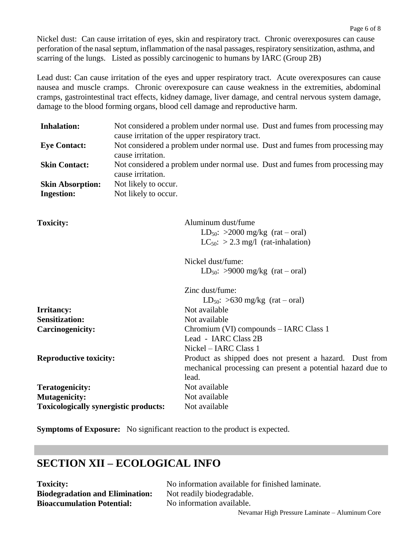Nickel dust: Can cause irritation of eyes, skin and respiratory tract. Chronic overexposures can cause perforation of the nasal septum, inflammation of the nasal passages, respiratory sensitization, asthma, and scarring of the lungs. Listed as possibly carcinogenic to humans by IARC (Group 2B)

Lead dust: Can cause irritation of the eyes and upper respiratory tract. Acute overexposures can cause nausea and muscle cramps. Chronic overexposure can cause weakness in the extremities, abdominal cramps, gastrointestinal tract effects, kidney damage, liver damage, and central nervous system damage, damage to the blood forming organs, blood cell damage and reproductive harm.

| <b>Inhalation:</b>                           | Not considered a problem under normal use. Dust and fumes from processing may                      |                                                                               |  |
|----------------------------------------------|----------------------------------------------------------------------------------------------------|-------------------------------------------------------------------------------|--|
|                                              |                                                                                                    | cause irritation of the upper respiratory tract.                              |  |
| <b>Eye Contact:</b>                          | Not considered a problem under normal use. Dust and fumes from processing may<br>cause irritation. |                                                                               |  |
| <b>Skin Contact:</b>                         | cause irritation.                                                                                  | Not considered a problem under normal use. Dust and fumes from processing may |  |
| <b>Skin Absorption:</b>                      | Not likely to occur.                                                                               |                                                                               |  |
| <b>Ingestion:</b>                            | Not likely to occur.                                                                               |                                                                               |  |
| <b>Toxicity:</b>                             |                                                                                                    | Aluminum dust/fume                                                            |  |
|                                              |                                                                                                    | LD <sub>50</sub> : $>2000$ mg/kg (rat – oral)                                 |  |
|                                              |                                                                                                    | $LC_{50}$ : > 2.3 mg/l (rat-inhalation)                                       |  |
|                                              |                                                                                                    | Nickel dust/fume:                                                             |  |
|                                              |                                                                                                    | LD <sub>50</sub> : >9000 mg/kg (rat – oral)                                   |  |
|                                              |                                                                                                    | Zinc dust/fume:                                                               |  |
|                                              |                                                                                                    | LD <sub>50</sub> : $>630$ mg/kg (rat – oral)                                  |  |
| <b>Irritancy:</b>                            |                                                                                                    | Not available                                                                 |  |
| <b>Sensitization:</b>                        |                                                                                                    | Not available                                                                 |  |
| <b>Carcinogenicity:</b>                      |                                                                                                    | Chromium (VI) compounds - IARC Class 1                                        |  |
|                                              |                                                                                                    | Lead - IARC Class 2B                                                          |  |
|                                              |                                                                                                    | Nickel - IARC Class 1                                                         |  |
| <b>Reproductive toxicity:</b>                |                                                                                                    | Product as shipped does not present a hazard. Dust from                       |  |
|                                              |                                                                                                    | mechanical processing can present a potential hazard due to                   |  |
|                                              |                                                                                                    | lead.                                                                         |  |
| <b>Teratogenicity:</b>                       |                                                                                                    | Not available                                                                 |  |
| <b>Mutagenicity:</b>                         |                                                                                                    | Not available                                                                 |  |
| <b>Toxicologically synergistic products:</b> |                                                                                                    | Not available                                                                 |  |

**Symptoms of Exposure:** No significant reaction to the product is expected.

#### **SECTION XII – ECOLOGICAL INFO**

**Biodegradation and Elimination:** Not readily biodegradable. **Bioaccumulation Potential:** No information available.

**Toxicity:** No information available for finished laminate.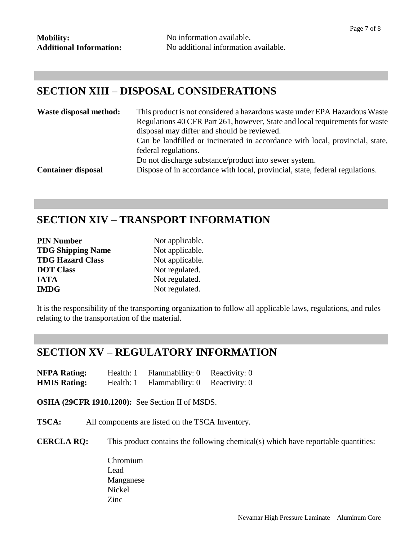#### **SECTION XIII – DISPOSAL CONSIDERATIONS**

| Waste disposal method:    | This product is not considered a hazardous waste under EPA Hazardous Waste<br>Regulations 40 CFR Part 261, however, State and local requirements for waste<br>disposal may differ and should be reviewed.<br>Can be landfilled or incinerated in accordance with local, provincial, state,<br>federal regulations. |  |
|---------------------------|--------------------------------------------------------------------------------------------------------------------------------------------------------------------------------------------------------------------------------------------------------------------------------------------------------------------|--|
|                           |                                                                                                                                                                                                                                                                                                                    |  |
|                           | Do not discharge substance/product into sewer system.                                                                                                                                                                                                                                                              |  |
| <b>Container disposal</b> | Dispose of in accordance with local, provincial, state, federal regulations.                                                                                                                                                                                                                                       |  |

#### **SECTION XIV – TRANSPORT INFORMATION**

| <b>PIN Number</b>        | Not app |
|--------------------------|---------|
| <b>TDG Shipping Name</b> | Not app |
| <b>TDG Hazard Class</b>  | Not app |
| <b>DOT Class</b>         | Not reg |
| IATA                     | Not reg |
| <b>IMDG</b>              | Not reg |

plicable. plicable. blicable. **zulated. Inlated. Indeed.** 

It is the responsibility of the transporting organization to follow all applicable laws, regulations, and rules relating to the transportation of the material.

## **SECTION XV – REGULATORY INFORMATION**

**NFPA Rating:** Health: 1 Flammability: 0 Reactivity: 0 **HMIS Rating:** Health: 1 Flammability: 0 Reactivity: 0

**OSHA (29CFR 1910.1200):** See Section II of MSDS.

**TSCA:** All components are listed on the TSCA Inventory.

**CERCLA RQ:** This product contains the following chemical(s) which have reportable quantities:

Chromium Lead Manganese Nickel Zinc